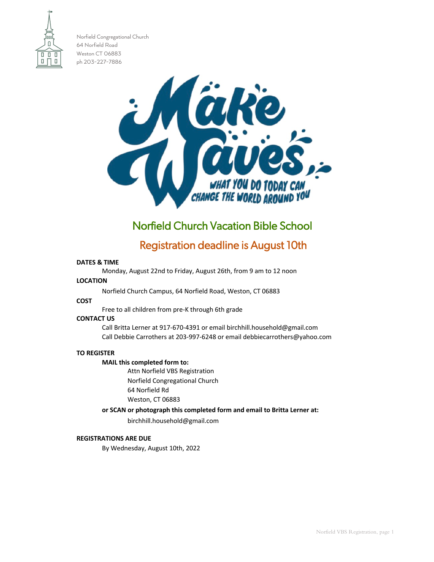

Norfield Congregational Church 64 Norfield Road Weston CT 06883 ph 203-227-7886



# Norfield Church Vacation Bible School

# Registration deadline is August 10th

#### **DATES & TIME**

Monday, August 22nd to Friday, August 26th, from 9 am to 12 noon

#### **LOCATION**

Norfield Church Campus, 64 Norfield Road, Weston, CT 06883

# **COST**

Free to all children from pre-K through 6th grade

#### **CONTACT US**

Call Britta Lerner at 917-670-4391 or email [birchhill.household@gmail.com](mailto:birchhill.household@gmail.com) Call Debbie Carrothers at 203-997-6248 or email [debbiecarrothers@yahoo.com](mailto:debbiecarrothers@yahoo.com)

# **TO REGISTER**

# **MAIL this completed form to:**

Attn Norfield VBS Registration Norfield Congregational Church 64 Norfield Rd Weston, CT 06883

# **or SCAN or photograph this completed form and email to Britta Lerner at:**

[birchhill.household@gmail.com](mailto:birchhill.household@gmail.com)

# **REGISTRATIONS ARE DUE**

By Wednesday, August 10th, 2022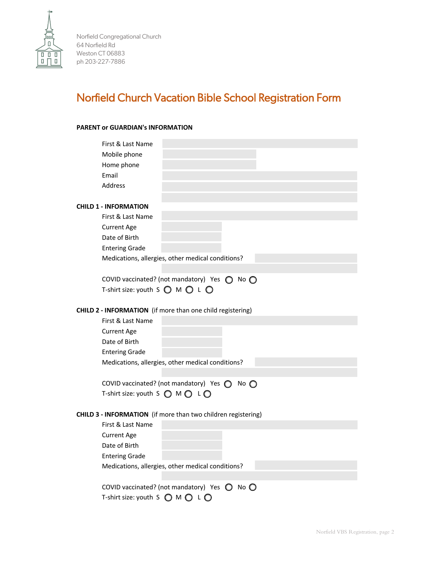

Norfield Congregational Church 64 Norfield Rd Weston CT 06883 ph 203-227-7886

# Norfield Church Vacation Bible School Registration Form

# **PARENT or GUARDIAN's INFORMATION**

| First & Last Name                                                 |
|-------------------------------------------------------------------|
| Mobile phone                                                      |
| Home phone                                                        |
| Email                                                             |
| <b>Address</b>                                                    |
|                                                                   |
| <b>CHILD 1 - INFORMATION</b>                                      |
| First & Last Name                                                 |
| <b>Current Age</b>                                                |
| Date of Birth                                                     |
| <b>Entering Grade</b>                                             |
| Medications, allergies, other medical conditions?                 |
|                                                                   |
| COVID vaccinated? (not mandatory) Yes $\bigcirc$ No $\bigcirc$    |
| T-shirt size: youth S $\bigcirc$ M $\bigcirc$ L $\bigcirc$        |
|                                                                   |
| <b>CHILD 2 - INFORMATION</b> (if more than one child registering) |
| First & Last Name                                                 |
| <b>Current Age</b>                                                |
| Date of Birth                                                     |
| <b>Entering Grade</b>                                             |
| Medications, allergies, other medical conditions?                 |
|                                                                   |
| COVID vaccinated? (not mandatory) Yes ( No (                      |
| T-shirt size: youth S ● M ● L ●                                   |
|                                                                   |
| CHILD 3 - INFORMATION (if more than two children registering)     |
| First & Last Name                                                 |
| <b>Current Age</b>                                                |
| Date of Birth                                                     |
| <b>Entering Grade</b>                                             |
| Medications, allergies, other medical conditions?                 |
|                                                                   |
| COVID vaccinated? (not mandatory) Yes $\bigcirc$ No $\bigcirc$    |
| T-shirt size: youth S $\bigcirc$ M $\bigcirc$ L $\bigcirc$        |